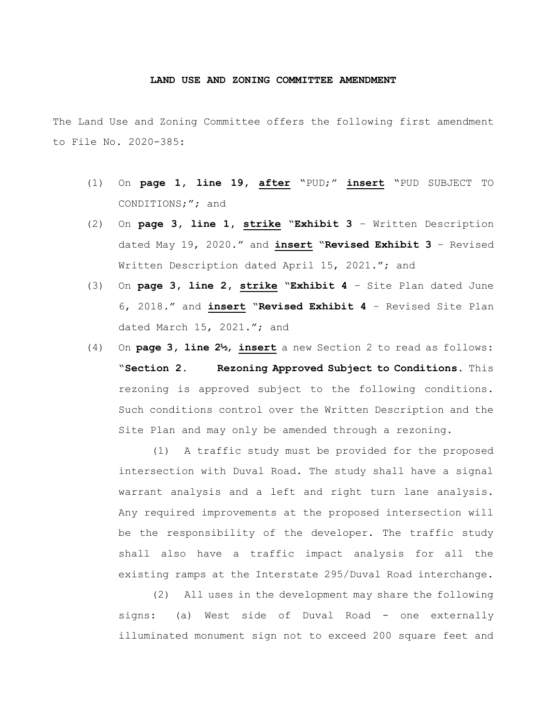## **LAND USE AND ZONING COMMITTEE AMENDMENT**

The Land Use and Zoning Committee offers the following first amendment to File No. 2020-385:

- (1) On **page 1, line 19, after** "PUD;" **insert** "PUD SUBJECT TO CONDITIONS;"; and
- (2) On **page 3, line 1, strike** "**Exhibit 3** Written Description dated May 19, 2020." and **insert** "**Revised Exhibit 3** – Revised Written Description dated April 15, 2021."; and
- (3) On **page 3, line 2, strike** "**Exhibit 4** Site Plan dated June 6, 2018." and **insert** "**Revised Exhibit 4** – Revised Site Plan dated March 15, 2021."; and
- (4) On **page 3, line 2½**, **insert** a new Section 2 to read as follows: "**Section 2. Rezoning Approved Subject to Conditions.** This rezoning is approved subject to the following conditions. Such conditions control over the Written Description and the Site Plan and may only be amended through a rezoning.

(1) A traffic study must be provided for the proposed intersection with Duval Road. The study shall have a signal warrant analysis and a left and right turn lane analysis. Any required improvements at the proposed intersection will be the responsibility of the developer. The traffic study shall also have a traffic impact analysis for all the existing ramps at the Interstate 295/Duval Road interchange.

(2) All uses in the development may share the following signs: (a) West side of Duval Road - one externally illuminated monument sign not to exceed 200 square feet and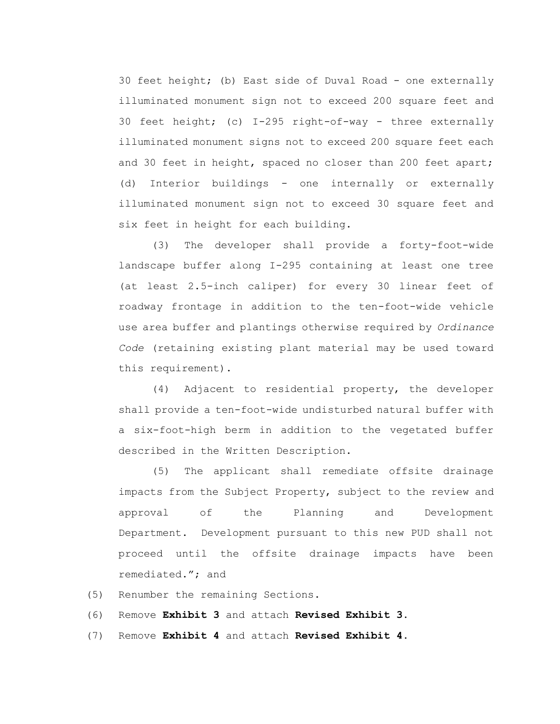30 feet height; (b) East side of Duval Road - one externally illuminated monument sign not to exceed 200 square feet and 30 feet height; (c) I-295 right-of-way - three externally illuminated monument signs not to exceed 200 square feet each and 30 feet in height, spaced no closer than 200 feet apart; (d) Interior buildings - one internally or externally illuminated monument sign not to exceed 30 square feet and six feet in height for each building.

(3) The developer shall provide a forty-foot-wide landscape buffer along I-295 containing at least one tree (at least 2.5-inch caliper) for every 30 linear feet of roadway frontage in addition to the ten-foot-wide vehicle use area buffer and plantings otherwise required by *Ordinance Code* (retaining existing plant material may be used toward this requirement).

(4) Adjacent to residential property, the developer shall provide a ten-foot-wide undisturbed natural buffer with a six-foot-high berm in addition to the vegetated buffer described in the Written Description.

(5) The applicant shall remediate offsite drainage impacts from the Subject Property, subject to the review and approval of the Planning and Development Department. Development pursuant to this new PUD shall not proceed until the offsite drainage impacts have been remediated."; and

(5) Renumber the remaining Sections.

(6) Remove **Exhibit 3** and attach **Revised Exhibit 3**.

(7) Remove **Exhibit 4** and attach **Revised Exhibit 4**.